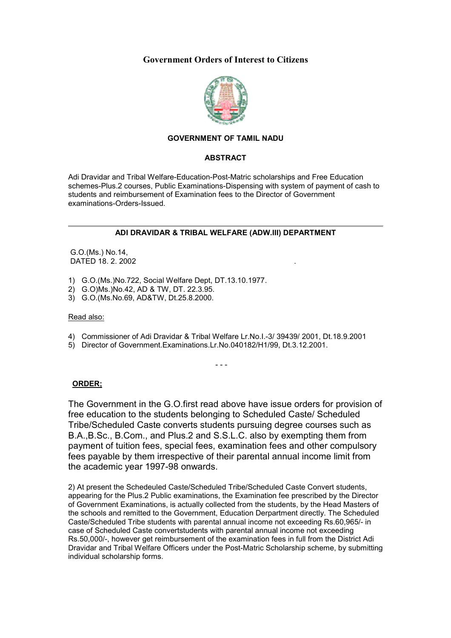# **Government Orders of Interest to Citizens**



# **GOVERNMENT OF TAMIL NADU**

### **ABSTRACT**

Adi Dravidar and Tribal Welfare-Education-Post-Matric scholarships and Free Education schemes-Plus.2 courses, Public Examinations-Dispensing with system of payment of cash to students and reimbursement of Examination fees to the Director of Government examinations-Orders-Issued.

### **ADI DRAVIDAR & TRIBAL WELFARE (ADW.III) DEPARTMENT**

 G.O.(Ms.) No.14, DATED 18. 2. 2002

- 1) G.O.(Ms.)No.722, Social Welfare Dept, DT.13.10.1977.
- 2) G.O)Ms.)No.42, AD & TW, DT. 22.3.95.
- 3) G.O.(Ms.No.69, AD&TW, Dt.25.8.2000.

### Read also:

4) Commissioner of Adi Dravidar & Tribal Welfare Lr.No.I.-3/ 39439/ 2001, Dt.18.9.2001

- - -

5) Director of Government.Examinations.Lr.No.040182/H1/99, Dt.3.12.2001.

## **ORDER;**

The Government in the G.O.first read above have issue orders for provision of free education to the students belonging to Scheduled Caste/ Scheduled Tribe/Scheduled Caste converts students pursuing degree courses such as B.A.,B.Sc., B.Com., and Plus.2 and S.S.L.C. also by exempting them from payment of tuition fees, special fees, examination fees and other compulsory fees payable by them irrespective of their parental annual income limit from the academic year 1997-98 onwards.

2) At present the Schedeuled Caste/Scheduled Tribe/Scheduled Caste Convert students, appearing for the Plus.2 Public examinations, the Examination fee prescribed by the Director of Government Examinations, is actually collected from the students, by the Head Masters of the schools and remitted to the Government, Education Derpartment directly. The Scheduled Caste/Scheduled Tribe students with parental annual income not exceeding Rs.60,965/- in case of Scheduled Caste convertstudents with parental annual income not exceeding Rs.50,000/-, however get reimbursement of the examination fees in full from the District Adi Dravidar and Tribal Welfare Officers under the Post-Matric Scholarship scheme, by submitting individual scholarship forms.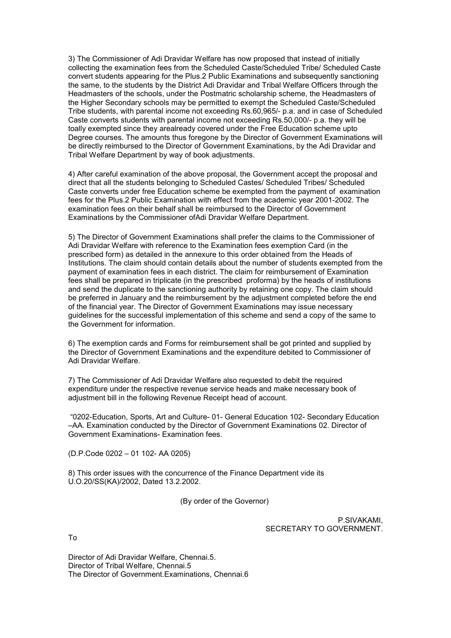3) The Commissioner of Adi Dravidar Welfare has now proposed that instead of initially collecting the examination fees from the Scheduled Caste/Scheduled Tribe/ Scheduled Caste convert students appearing for the Plus.2 Public Examinations and subsequently sanctioning the same, to the students by the District Adi Dravidar and Tribal Welfare Officers through the Headmasters of the schools, under the Postmatric scholarship scheme, the Headmasters of the Higher Secondary schools may be permitted to exempt the Scheduled Caste/Scheduled Tribe students, with parental income not exceeding Rs.60,965/- p.a. and in case of Scheduled Caste converts students with parental income not exceeding Rs.50,000/- p.a. they will be toally exempted since they arealready covered under the Free Education scheme upto Degree courses. The amounts thus foregone by the Director of Government Examinations will be directly reimbursed to the Director of Government Examinations, by the Adi Dravidar and Tribal Welfare Department by way of book adjustments.

4) After careful examination of the above proposal, the Government accept the proposal and direct that all the students belonging to Scheduled Castes/ Scheduled Tribes/ Scheduled Caste converts under free Education scheme be exempted from the payment of examination fees for the Plus.2 Public Examination with effect from the academic year 2001-2002. The examination fees on their behalf shall be reimbursed to the Director of Government Examinations by the Commissioner ofAdi Dravidar Welfare Department.

5) The Director of Government Examinations shall prefer the claims to the Commissioner of Adi Dravidar Welfare with reference to the Examination fees exemption Card (in the prescribed form) as detailed in the annexure to this order obtained from the Heads of Institutions. The claim should contain details about the number of students exempted from the payment of examination fees in each district. The claim for reimbursement of Examination fees shall be prepared in triplicate (in the prescribed proforma) by the heads of institutions and send the duplicate to the sanctioning authority by retaining one copy. The claim should be preferred in January and the reimbursement by the adjustment completed before the end of the financial year. The Director of Government Examinations may issue necessary guidelines for the successful implementation of this scheme and send a copy of the same to the Government for information.

6) The exemption cards and Forms for reimbursement shall be got printed and supplied by the Director of Government Examinations and the expenditure debited to Commissioner of Adi Dravidar Welfare.

7) The Commissioner of Adi Dravidar Welfare also requested to debit the required expenditure under the respective revenue service heads and make necessary book of adjustment bill in the following Revenue Receipt head of account.

 "0202-Education, Sports, Art and Culture- 01- General Education 102- Secondary Education –AA. Examination conducted by the Director of Government Examinations 02. Director of Government Examinations- Examination fees.

(D.P.Code 0202 – 01 102- AA 0205)

8) This order issues with the concurrence of the Finance Department vide its U.O.20/SS(KA)/2002, Dated 13.2.2002.

(By order of the Governor)

P.SIVAKAMI, SECRETARY TO GOVERNMENT.

To

Director of Adi Dravidar Welfare, Chennai.5. Director of Tribal Welfare, Chennai.5 The Director of Government.Examinations, Chennai.6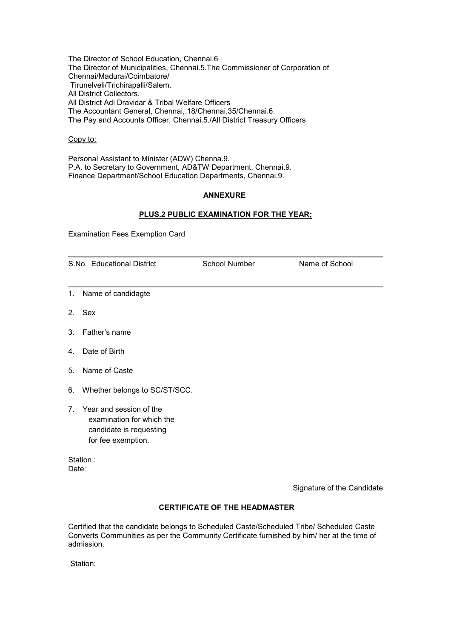The Director of School Education, Chennai.6 The Director of Municipalities, Chennai.5.The Commissioner of Corporation of Chennai/Madurai/Coimbatore/ Tirunelveli/Trichirapalli/Salem. All District Collectors. All District Adi Dravidar & Tribal Welfare Officers The Accountant General, Chennai,.18/Chennai.35/Chennai.6. The Pay and Accounts Officer, Chennai.5./All District Treasury Officers

### Copy to:

Personal Assistant to Minister (ADW) Chenna.9. P.A. to Secretary to Government, AD&TW Department, Chennai.9. Finance Department/School Education Departments, Chennai.9.

### **ANNEXURE**

### **PLUS.2 PUBLIC EXAMINATION FOR THE YEAR;**

Examination Fees Exemption Card

| S.No. Educational District |                                                                                    | School Number | Name of School |  |
|----------------------------|------------------------------------------------------------------------------------|---------------|----------------|--|
|                            | 1. Name of candidagte                                                              |               |                |  |
|                            | 2. Sex                                                                             |               |                |  |
|                            | 3. Father's name                                                                   |               |                |  |
|                            | 4. Date of Birth                                                                   |               |                |  |
|                            | 5. Name of Caste                                                                   |               |                |  |
|                            | 6. Whether belongs to SC/ST/SCC.                                                   |               |                |  |
|                            | 7. Year and session of the<br>examination for which the<br>candidate is requesting |               |                |  |

Station : Date:

for fee exemption.

Signature of the Candidate

## **CERTIFICATE OF THE HEADMASTER**

Certified that the candidate belongs to Scheduled Caste/Scheduled Tribe/ Scheduled Caste Converts Communities as per the Community Certificate furnished by him/ her at the time of admission.

Station: